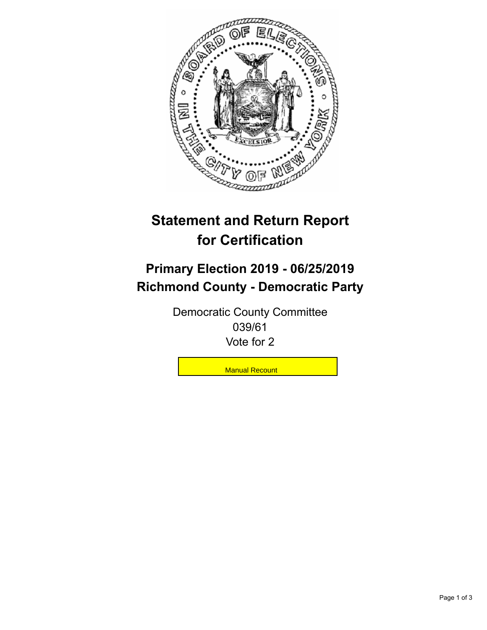

## **Statement and Return Report for Certification**

## **Primary Election 2019 - 06/25/2019 Richmond County - Democratic Party**

Democratic County Committee 039/61 Vote for 2

**Manual Recount**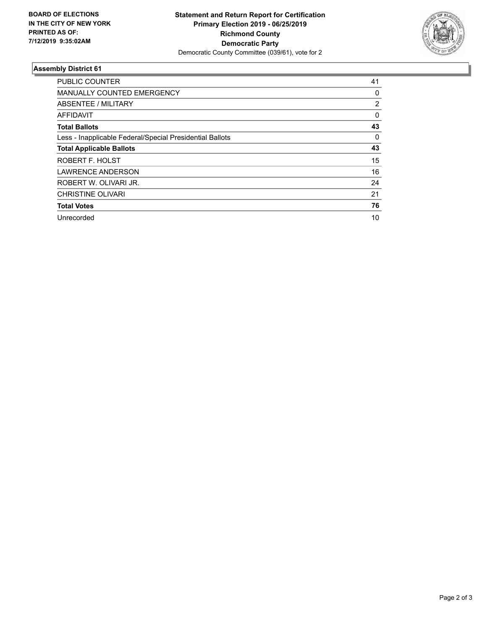

## **Assembly District 61**

| <b>PUBLIC COUNTER</b>                                    | 41       |
|----------------------------------------------------------|----------|
| <b>MANUALLY COUNTED EMERGENCY</b>                        | 0        |
| ABSENTEE / MILITARY                                      | 2        |
| AFFIDAVIT                                                | $\Omega$ |
| <b>Total Ballots</b>                                     | 43       |
| Less - Inapplicable Federal/Special Presidential Ballots | $\Omega$ |
| <b>Total Applicable Ballots</b>                          | 43       |
| ROBERT F. HOLST                                          | 15       |
| <b>LAWRENCE ANDERSON</b>                                 | 16       |
| ROBERT W. OLIVARI JR.                                    | 24       |
| <b>CHRISTINE OLIVARI</b>                                 | 21       |
| <b>Total Votes</b>                                       | 76       |
| Unrecorded                                               | 10       |